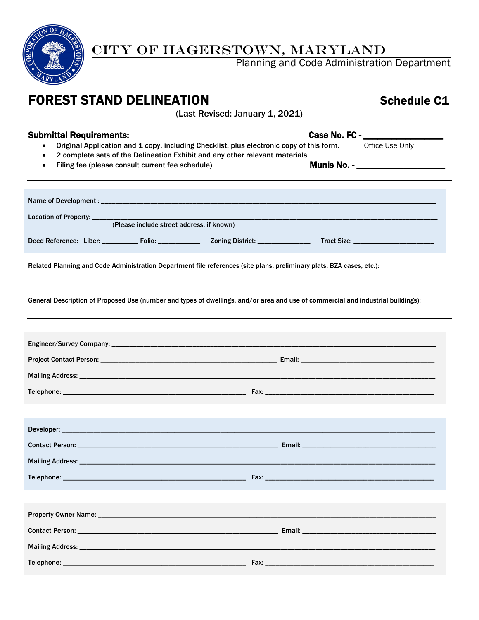

## CITY OF HAGERSTOWN, MARYLAND

Planning and Code Administration Department

# FOREST STAND DELINEATION Schedule C1

(Last Revised: January 1, 2021)

- Submittal Requirements:<br>
 Original Application and 1 copy, including Checklist, plus electronic copy of this form.<br>
Office Use Only • Original Application and 1 copy, including Checklist, plus electronic copy of this form.
	- 2 complete sets of the Delineation Exhibit and any other relevant materials
	- Filing fee (please consult current fee schedule) Munis No. \_\_\_\_\_\_\_\_\_\_\_\_\_\_\_\_\_

| Location of Property: ____<br>(Please include street address, if known)                                                          |                                 |  |  |  |
|----------------------------------------------------------------------------------------------------------------------------------|---------------------------------|--|--|--|
|                                                                                                                                  |                                 |  |  |  |
| Deed Reference: Liber: _________ Folio: ____________ Zoning District: ____________                                               | Tract Size: ___________________ |  |  |  |
| Related Planning and Code Administration Department file references (site plans, preliminary plats, BZA cases, etc.):            |                                 |  |  |  |
| General Description of Proposed Use (number and types of dwellings, and/or area and use of commercial and industrial buildings): |                                 |  |  |  |
|                                                                                                                                  |                                 |  |  |  |
|                                                                                                                                  |                                 |  |  |  |
|                                                                                                                                  |                                 |  |  |  |
|                                                                                                                                  |                                 |  |  |  |
|                                                                                                                                  |                                 |  |  |  |
|                                                                                                                                  |                                 |  |  |  |
|                                                                                                                                  |                                 |  |  |  |
|                                                                                                                                  |                                 |  |  |  |
|                                                                                                                                  |                                 |  |  |  |
|                                                                                                                                  |                                 |  |  |  |
|                                                                                                                                  |                                 |  |  |  |
|                                                                                                                                  |                                 |  |  |  |
|                                                                                                                                  |                                 |  |  |  |
|                                                                                                                                  |                                 |  |  |  |
| Telephone: _________<br>$\overline{\phantom{a}}$ Fax:                                                                            |                                 |  |  |  |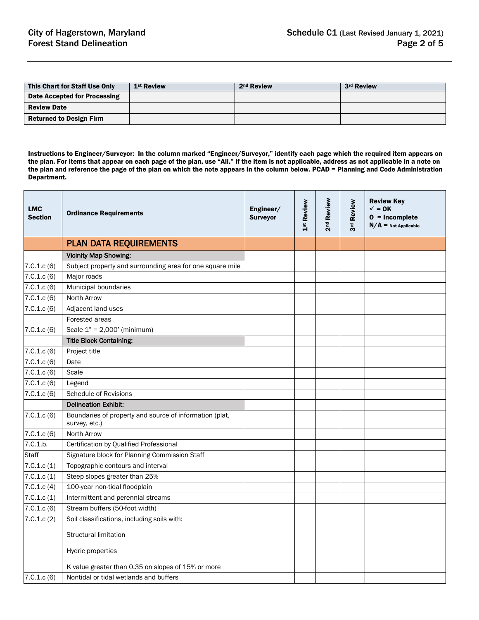| This Chart for Staff Use Only  | 1 <sup>st</sup> Review | 2 <sup>nd</sup> Review | 3rd Review |
|--------------------------------|------------------------|------------------------|------------|
| Date Accepted for Processing   |                        |                        |            |
| <b>Review Date</b>             |                        |                        |            |
| <b>Returned to Design Firm</b> |                        |                        |            |

Instructions to Engineer/Surveyor: In the column marked "Engineer/Surveyor," identify each page which the required item appears on the plan. For items that appear on each page of the plan, use "All." If the item is not applicable, address as not applicable in a note on the plan and reference the page of the plan on which the note appears in the column below. PCAD = Planning and Code Administration Department.

| <b>LMC</b><br><b>Section</b> | <b>Ordinance Requirements</b>                                            | Engineer/<br><b>Surveyor</b> | 1st Review | 2 <sup>nd</sup> Review | Review<br>3 <sup>rd</sup> | <b>Review Key</b><br>$\checkmark$ = 0K<br>$0 = Incomplete$<br>$N/A$ = Not Applicable |
|------------------------------|--------------------------------------------------------------------------|------------------------------|------------|------------------------|---------------------------|--------------------------------------------------------------------------------------|
|                              | <b>PLAN DATA REQUIREMENTS</b>                                            |                              |            |                        |                           |                                                                                      |
|                              | <b>Vicinity Map Showing:</b>                                             |                              |            |                        |                           |                                                                                      |
| 7.C.1.c(6)                   | Subject property and surrounding area for one square mile                |                              |            |                        |                           |                                                                                      |
| 7.C.1.c(6)                   | Major roads                                                              |                              |            |                        |                           |                                                                                      |
| 7.C.1.c(6)                   | Municipal boundaries                                                     |                              |            |                        |                           |                                                                                      |
| 7.C.1.c(6)                   | North Arrow                                                              |                              |            |                        |                           |                                                                                      |
| 7.C.1.c(6)                   | Adjacent land uses                                                       |                              |            |                        |                           |                                                                                      |
|                              | Forested areas                                                           |                              |            |                        |                           |                                                                                      |
| 7.C.1.c(6)                   | Scale $1" = 2,000'$ (minimum)                                            |                              |            |                        |                           |                                                                                      |
|                              | <b>Title Block Containing:</b>                                           |                              |            |                        |                           |                                                                                      |
| 7.0.1.c(6)                   | Project title                                                            |                              |            |                        |                           |                                                                                      |
| 7.C.1.c(6)                   | Date                                                                     |                              |            |                        |                           |                                                                                      |
| 7.C.1.c(6)                   | Scale                                                                    |                              |            |                        |                           |                                                                                      |
| 7.C.1.c(6)                   | Legend                                                                   |                              |            |                        |                           |                                                                                      |
| 7.C.1.c(6)                   | <b>Schedule of Revisions</b>                                             |                              |            |                        |                           |                                                                                      |
|                              | <b>Delineation Exhibit:</b>                                              |                              |            |                        |                           |                                                                                      |
| 7.C.1.c(6)                   | Boundaries of property and source of information (plat,<br>survey, etc.) |                              |            |                        |                           |                                                                                      |
| 7.C.1.c(6)                   | North Arrow                                                              |                              |            |                        |                           |                                                                                      |
| 7.C.1.b.                     | Certification by Qualified Professional                                  |                              |            |                        |                           |                                                                                      |
| <b>Staff</b>                 | Signature block for Planning Commission Staff                            |                              |            |                        |                           |                                                                                      |
| 7.C.1.c(1)                   | Topographic contours and interval                                        |                              |            |                        |                           |                                                                                      |
| 7.C.1.c(1)                   | Steep slopes greater than 25%                                            |                              |            |                        |                           |                                                                                      |
| 7.C.1.c(4)                   | 100-year non-tidal floodplain                                            |                              |            |                        |                           |                                                                                      |
| 7.C.1.c(1)                   | Intermittent and perennial streams                                       |                              |            |                        |                           |                                                                                      |
| 7.C.1.c(6)                   | Stream buffers (50-foot width)                                           |                              |            |                        |                           |                                                                                      |
| 7.C.1.c(2)                   | Soil classifications, including soils with:                              |                              |            |                        |                           |                                                                                      |
|                              | <b>Structural limitation</b>                                             |                              |            |                        |                           |                                                                                      |
|                              | <b>Hydric properties</b>                                                 |                              |            |                        |                           |                                                                                      |
|                              | K value greater than 0.35 on slopes of 15% or more                       |                              |            |                        |                           |                                                                                      |
| 7.C.1.c(6)                   | Nontidal or tidal wetlands and buffers                                   |                              |            |                        |                           |                                                                                      |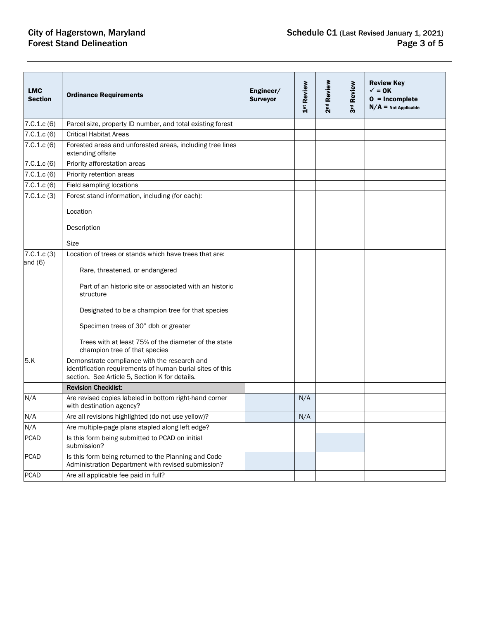# **City of Hagerstown, Maryland Forest Stand Delineation**

| <b>LMC</b><br><b>Section</b>     | <b>Ordinance Requirements</b>                                                                                                                                                                                                                                                                                                                                                                                                                                        | Engineer/<br><b>Surveyor</b> | 1 <sup>st</sup> Review | 2 <sup>nd</sup> Review | 3rd Review | <b>Review Key</b><br>$\checkmark$ = 0K<br>$0 = Incomplete$<br>$N/A$ = Not Applicable |
|----------------------------------|----------------------------------------------------------------------------------------------------------------------------------------------------------------------------------------------------------------------------------------------------------------------------------------------------------------------------------------------------------------------------------------------------------------------------------------------------------------------|------------------------------|------------------------|------------------------|------------|--------------------------------------------------------------------------------------|
| 7.C.1.c(6)                       | Parcel size, property ID number, and total existing forest                                                                                                                                                                                                                                                                                                                                                                                                           |                              |                        |                        |            |                                                                                      |
| 7.C.1.c(6)                       | <b>Critical Habitat Areas</b>                                                                                                                                                                                                                                                                                                                                                                                                                                        |                              |                        |                        |            |                                                                                      |
| 7.C.1.c(6)                       | Forested areas and unforested areas, including tree lines<br>extending offsite                                                                                                                                                                                                                                                                                                                                                                                       |                              |                        |                        |            |                                                                                      |
| 7.C.1.c(6)                       | Priority afforestation areas                                                                                                                                                                                                                                                                                                                                                                                                                                         |                              |                        |                        |            |                                                                                      |
| 7.C.1.c(6)                       | Priority retention areas                                                                                                                                                                                                                                                                                                                                                                                                                                             |                              |                        |                        |            |                                                                                      |
| 7.C.1.c(6)                       | Field sampling locations                                                                                                                                                                                                                                                                                                                                                                                                                                             |                              |                        |                        |            |                                                                                      |
| 7.0.1.c(3)                       | Forest stand information, including (for each):<br>Location                                                                                                                                                                                                                                                                                                                                                                                                          |                              |                        |                        |            |                                                                                      |
|                                  | Description<br><b>Size</b>                                                                                                                                                                                                                                                                                                                                                                                                                                           |                              |                        |                        |            |                                                                                      |
| 7.C.1.c. (3)<br>and $(6)$<br>5.K | Location of trees or stands which have trees that are:<br>Rare, threatened, or endangered<br>Part of an historic site or associated with an historic<br>structure<br>Designated to be a champion tree for that species<br>Specimen trees of 30" dbh or greater<br>Trees with at least 75% of the diameter of the state<br>champion tree of that species<br>Demonstrate compliance with the research and<br>identification requirements of human burial sites of this |                              |                        |                        |            |                                                                                      |
|                                  | section. See Article 5, Section K for details.<br><b>Revision Checklist:</b>                                                                                                                                                                                                                                                                                                                                                                                         |                              |                        |                        |            |                                                                                      |
| N/A                              | Are revised copies labeled in bottom right-hand corner<br>with destination agency?                                                                                                                                                                                                                                                                                                                                                                                   |                              | N/A                    |                        |            |                                                                                      |
| N/A                              | Are all revisions highlighted (do not use yellow)?                                                                                                                                                                                                                                                                                                                                                                                                                   |                              | N/A                    |                        |            |                                                                                      |
| N/A                              | Are multiple-page plans stapled along left edge?                                                                                                                                                                                                                                                                                                                                                                                                                     |                              |                        |                        |            |                                                                                      |
| <b>PCAD</b>                      | Is this form being submitted to PCAD on initial<br>submission?                                                                                                                                                                                                                                                                                                                                                                                                       |                              |                        |                        |            |                                                                                      |
| <b>PCAD</b>                      | Is this form being returned to the Planning and Code<br>Administration Department with revised submission?                                                                                                                                                                                                                                                                                                                                                           |                              |                        |                        |            |                                                                                      |
| <b>PCAD</b>                      | Are all applicable fee paid in full?                                                                                                                                                                                                                                                                                                                                                                                                                                 |                              |                        |                        |            |                                                                                      |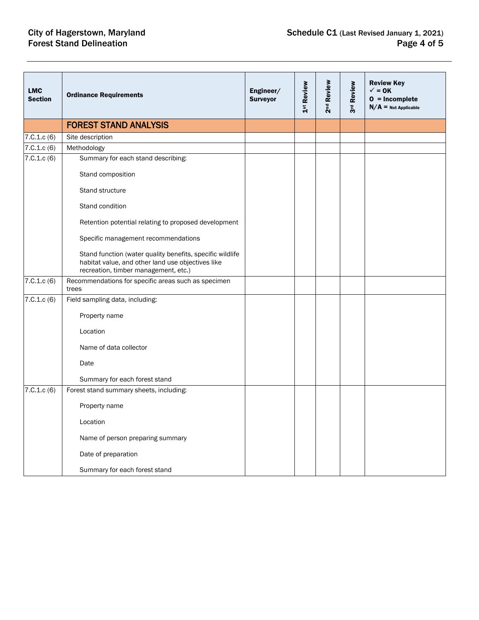| <b>LMC</b><br><b>Section</b> | <b>Ordinance Requirements</b>                                                                                                                          | Engineer/<br><b>Surveyor</b> | 1st Review | 2 <sup>nd</sup> Review | 3rd Review | <b>Review Key</b><br>$\checkmark$ = 0K<br>$0 = Incomplete$<br>$N/A$ = Not Applicable |
|------------------------------|--------------------------------------------------------------------------------------------------------------------------------------------------------|------------------------------|------------|------------------------|------------|--------------------------------------------------------------------------------------|
|                              | <b>FOREST STAND ANALYSIS</b>                                                                                                                           |                              |            |                        |            |                                                                                      |
| 7.C.1.c(6)                   | Site description                                                                                                                                       |                              |            |                        |            |                                                                                      |
| 7. C. 1.c (6)                | Methodology                                                                                                                                            |                              |            |                        |            |                                                                                      |
| 7.C.1.c(6)                   | Summary for each stand describing:                                                                                                                     |                              |            |                        |            |                                                                                      |
|                              | Stand composition                                                                                                                                      |                              |            |                        |            |                                                                                      |
|                              | Stand structure                                                                                                                                        |                              |            |                        |            |                                                                                      |
|                              | Stand condition                                                                                                                                        |                              |            |                        |            |                                                                                      |
|                              | Retention potential relating to proposed development                                                                                                   |                              |            |                        |            |                                                                                      |
|                              | Specific management recommendations                                                                                                                    |                              |            |                        |            |                                                                                      |
|                              | Stand function (water quality benefits, specific wildlife<br>habitat value, and other land use objectives like<br>recreation, timber management, etc.) |                              |            |                        |            |                                                                                      |
| 7.C.1.c(6)                   | Recommendations for specific areas such as specimen<br>trees                                                                                           |                              |            |                        |            |                                                                                      |
| 7.C.1.c(6)                   | Field sampling data, including:                                                                                                                        |                              |            |                        |            |                                                                                      |
|                              | Property name                                                                                                                                          |                              |            |                        |            |                                                                                      |
|                              | Location                                                                                                                                               |                              |            |                        |            |                                                                                      |
|                              | Name of data collector                                                                                                                                 |                              |            |                        |            |                                                                                      |
|                              | Date                                                                                                                                                   |                              |            |                        |            |                                                                                      |
|                              | Summary for each forest stand                                                                                                                          |                              |            |                        |            |                                                                                      |
| 7.C.1.c(6)                   | Forest stand summary sheets, including:                                                                                                                |                              |            |                        |            |                                                                                      |
|                              | Property name                                                                                                                                          |                              |            |                        |            |                                                                                      |
|                              | Location                                                                                                                                               |                              |            |                        |            |                                                                                      |
|                              | Name of person preparing summary                                                                                                                       |                              |            |                        |            |                                                                                      |
|                              | Date of preparation                                                                                                                                    |                              |            |                        |            |                                                                                      |
|                              | Summary for each forest stand                                                                                                                          |                              |            |                        |            |                                                                                      |